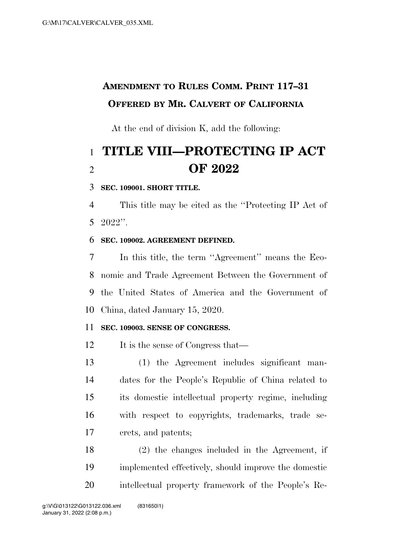## **AMENDMENT TO RULES COMM. PRINT 117–31 OFFERED BY MR. CALVERT OF CALIFORNIA**

At the end of division K, add the following:

# **TITLE VIII—PROTECTING IP ACT OF 2022**

#### **SEC. 109001. SHORT TITLE.**

 This title may be cited as the ''Protecting IP Act of 2022''.

#### **SEC. 109002. AGREEMENT DEFINED.**

 In this title, the term ''Agreement'' means the Eco- nomic and Trade Agreement Between the Government of the United States of America and the Government of China, dated January 15, 2020.

#### **SEC. 109003. SENSE OF CONGRESS.**

12 It is the sense of Congress that—

 (1) the Agreement includes significant man- dates for the People's Republic of China related to its domestic intellectual property regime, including with respect to copyrights, trademarks, trade se-crets, and patents;

 (2) the changes included in the Agreement, if implemented effectively, should improve the domestic intellectual property framework of the People's Re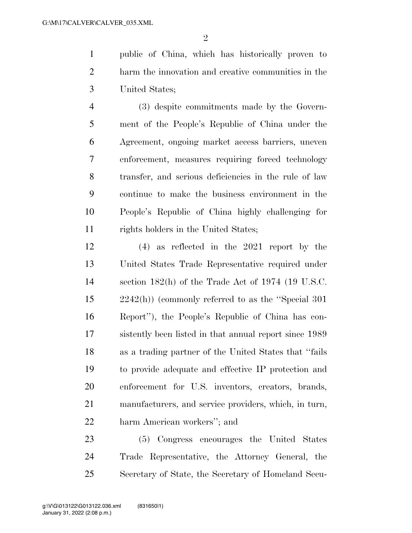$\mathfrak{D}$ 

 public of China, which has historically proven to harm the innovation and creative communities in the United States;

 (3) despite commitments made by the Govern- ment of the People's Republic of China under the Agreement, ongoing market access barriers, uneven enforcement, measures requiring forced technology transfer, and serious deficiencies in the rule of law continue to make the business environment in the People's Republic of China highly challenging for 11 rights holders in the United States;

 (4) as reflected in the 2021 report by the United States Trade Representative required under section 182(h) of the Trade Act of 1974 (19 U.S.C. 2242(h)) (commonly referred to as the ''Special 301 Report''), the People's Republic of China has con- sistently been listed in that annual report since 1989 as a trading partner of the United States that ''fails to provide adequate and effective IP protection and enforcement for U.S. inventors, creators, brands, manufacturers, and service providers, which, in turn, harm American workers''; and

 (5) Congress encourages the United States Trade Representative, the Attorney General, the Secretary of State, the Secretary of Homeland Secu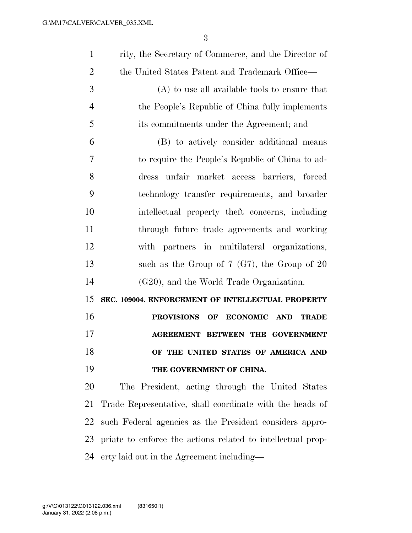| $\mathbf{1}$   | rity, the Secretary of Commerce, and the Director of        |
|----------------|-------------------------------------------------------------|
| $\overline{2}$ | the United States Patent and Trademark Office—              |
| 3              | $(A)$ to use all available tools to ensure that             |
| $\overline{4}$ | the People's Republic of China fully implements             |
| 5              | its commitments under the Agreement; and                    |
| 6              | (B) to actively consider additional means                   |
| 7              | to require the People's Republic of China to ad-            |
| 8              | unfair market access barriers, forced<br>dress              |
| 9              | technology transfer requirements, and broader               |
| 10             | intellectual property theft concerns, including             |
| 11             | through future trade agreements and working                 |
| 12             | with partners in multilateral organizations,                |
| 13             | such as the Group of $7$ (G7), the Group of $20$            |
| 14             | (G20), and the World Trade Organization.                    |
| 15             | SEC. 109004. ENFORCEMENT OF INTELLECTUAL PROPERTY           |
| 16             | OF ECONOMIC AND<br><b>PROVISIONS</b><br><b>TRADE</b>        |
| 17             | <b>AGREEMENT BETWEEN THE GOVERNMENT</b>                     |
| 18             | OF THE UNITED STATES OF AMERICA AND                         |
| 19             | THE GOVERNMENT OF CHINA.                                    |
| 20             | The President, acting through the United States             |
| 21             | Trade Representative, shall coordinate with the heads of    |
| 22             | such Federal agencies as the President considers appro-     |
| 23             |                                                             |
|                | priate to enforce the actions related to intellectual prop- |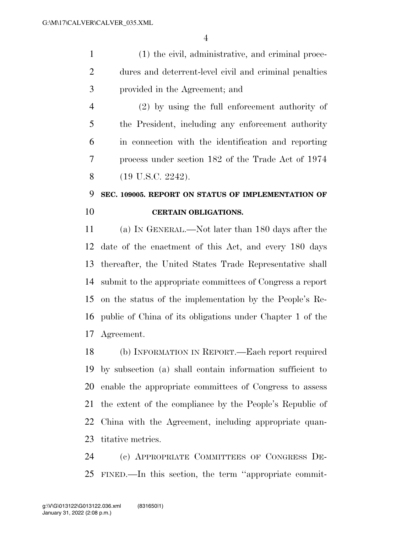(1) the civil, administrative, and criminal proce- dures and deterrent-level civil and criminal penalties provided in the Agreement; and

 (2) by using the full enforcement authority of the President, including any enforcement authority in connection with the identification and reporting process under section 182 of the Trade Act of 1974 8 (19 U.S.C. 2242).

### **SEC. 109005. REPORT ON STATUS OF IMPLEMENTATION OF CERTAIN OBLIGATIONS.**

 (a) IN GENERAL.—Not later than 180 days after the date of the enactment of this Act, and every 180 days thereafter, the United States Trade Representative shall submit to the appropriate committees of Congress a report on the status of the implementation by the People's Re- public of China of its obligations under Chapter 1 of the Agreement.

 (b) INFORMATION IN REPORT.—Each report required by subsection (a) shall contain information sufficient to enable the appropriate committees of Congress to assess the extent of the compliance by the People's Republic of China with the Agreement, including appropriate quan-titative metrics.

 (c) APPROPRIATE COMMITTEES OF CONGRESS DE-FINED.—In this section, the term ''appropriate commit-